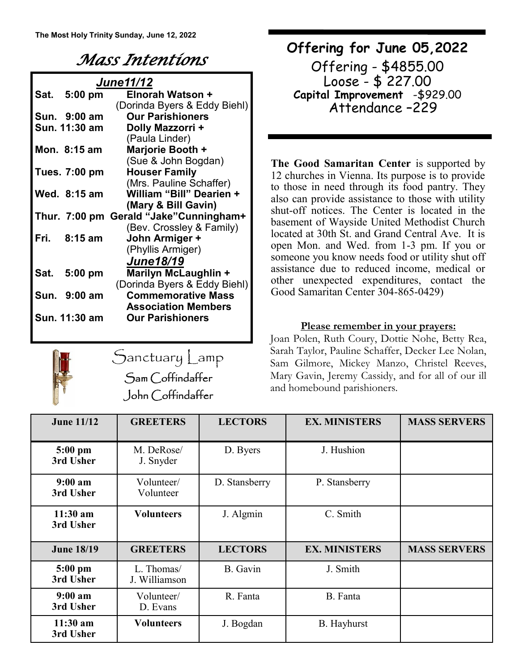## *Mass Intentions*

| <b>June11/12</b> |               |                                         |  |  |  |
|------------------|---------------|-----------------------------------------|--|--|--|
| Sat.             | $5:00$ pm     | Elnorah Watson +                        |  |  |  |
|                  |               | (Dorinda Byers & Eddy Biehl)            |  |  |  |
|                  | Sun. 9:00 am  | <b>Our Parishioners</b>                 |  |  |  |
|                  | Sun. 11:30 am | Dolly Mazzorri +                        |  |  |  |
|                  |               | (Paula Linder)                          |  |  |  |
|                  | Mon. 8:15 am  | Marjorie Booth +                        |  |  |  |
|                  |               | (Sue & John Bogdan)                     |  |  |  |
|                  | Tues. 7:00 pm | <b>Houser Family</b>                    |  |  |  |
|                  |               | (Mrs. Pauline Schaffer)                 |  |  |  |
|                  | Wed. 8:15 am  | William "Bill" Dearien +                |  |  |  |
|                  |               | (Mary & Bill Gavin)                     |  |  |  |
|                  |               | Thur. 7:00 pm Gerald "Jake" Cunningham+ |  |  |  |
|                  |               | (Bev. Crossley & Family)                |  |  |  |
|                  | Fri. 8:15 am  | John Armiger +                          |  |  |  |
|                  |               | (Phyllis Armiger)                       |  |  |  |
|                  |               | <b>June18/19</b>                        |  |  |  |
|                  | Sat. 5:00 pm  | Marilyn McLaughlin +                    |  |  |  |
|                  |               | (Dorinda Byers & Eddy Biehl)            |  |  |  |
|                  | Sun. 9:00 am  | <b>Commemorative Mass</b>               |  |  |  |
|                  |               | <b>Association Members</b>              |  |  |  |
|                  | Sun. 11:30 am | <b>Our Parishioners</b>                 |  |  |  |
|                  |               |                                         |  |  |  |



Sanctuary Lamp Sam Coffindaffer John Coffindaffer

### **Offering for June 05,2022**

Offering - \$4855.00 Loose - \$ 227.00 **Capital Improvement** -\$929.00 Attendance –229

**The Good Samaritan Center** is supported by 12 churches in Vienna. Its purpose is to provide to those in need through its food pantry. They also can provide assistance to those with utility shut-off notices. The Center is located in the basement of Wayside United Methodist Church located at 30th St. and Grand Central Ave. It is open Mon. and Wed. from 1-3 pm. If you or someone you know needs food or utility shut off assistance due to reduced income, medical or other unexpected expenditures, contact the Good Samaritan Center 304-865-0429)

### **Please remember in your prayers:**

Joan Polen, Ruth Coury, Dottie Nohe, Betty Rea, Sarah Taylor, Pauline Schaffer, Decker Lee Nolan, Sam Gilmore, Mickey Manzo, Christel Reeves, Mary Gavin, Jeremy Cassidy, and for all of our ill and homebound parishioners.

| <b>June 11/12</b>                | <b>GREETERS</b>             | <b>LECTORS</b> | <b>EX. MINISTERS</b> | <b>MASS SERVERS</b> |
|----------------------------------|-----------------------------|----------------|----------------------|---------------------|
| $5:00$ pm<br>3rd Usher           | M. DeRose/<br>J. Snyder     | D. Byers       | J. Hushion           |                     |
| 9:00 a <sub>m</sub><br>3rd Usher | Volunteer/<br>Volunteer     | D. Stansberry  | P. Stansberry        |                     |
| $11:30$ am<br>3rd Usher          | <b>Volunteers</b>           | J. Algmin      | C. Smith             |                     |
| <b>June 18/19</b>                | <b>GREETERS</b>             | <b>LECTORS</b> | <b>EX. MINISTERS</b> | <b>MASS SERVERS</b> |
| $5:00$ pm<br>3rd Usher           | L. Thomas/<br>J. Williamson | B. Gavin       | J. Smith             |                     |
| 9:00 a m<br>3rd Usher            | Volunteer/<br>D. Evans      | R. Fanta       | B. Fanta             |                     |
| $11:30$ am<br>3rd Usher          | <b>Volunteers</b>           | J. Bogdan      | <b>B.</b> Hayhurst   |                     |